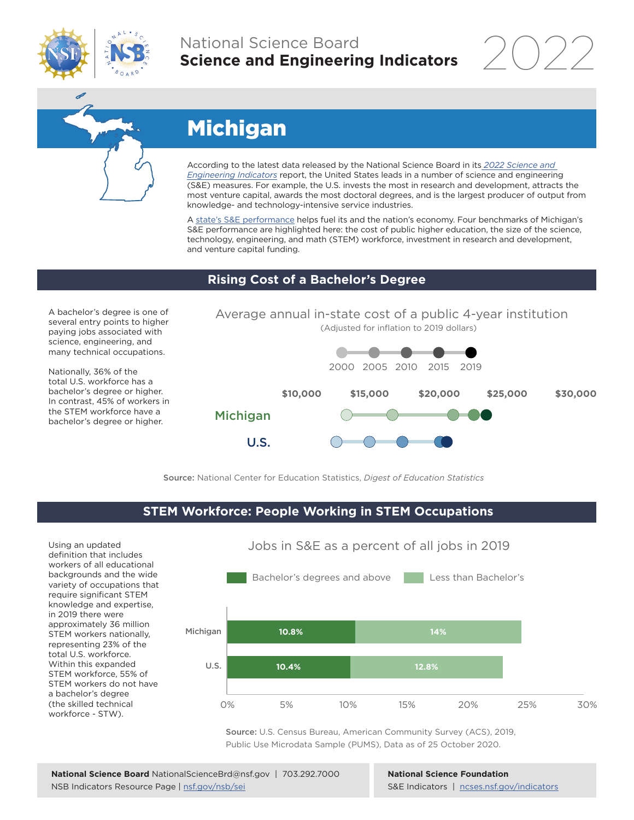

## National Science Board **Science and Engineering Indicators**



# Michigan

According to the latest data released by the National Science Board in its *[2022 Science and](https://www.ncses.nsf.gov/indicators)  [Engineering Indicators](https://www.ncses.nsf.gov/indicators)* report, the United States leads in a number of science and engineering (S&E) measures. For example, the U.S. invests the most in research and development, attracts the most venture capital, awards the most doctoral degrees, and is the largest producer of output from knowledge- and technology-intensive service industries.

A [state's S&E performance](https://ncses.nsf.gov/indicators/states/) helps fuel its and the nation's economy. Four benchmarks of Michigan's S&E performance are highlighted here: the cost of public higher education, the size of the science, technology, engineering, and math (STEM) workforce, investment in research and development, and venture capital funding.

### **Rising Cost of a Bachelor's Degree**

A bachelor's degree is one of several entry points to higher paying jobs associated with science, engineering, and many technical occupations.

Nationally, 36% of the total U.S. workforce has a bachelor's degree or higher. In contrast, 45% of workers in the STEM workforce have a bachelor's degree or higher.



Source: National Center for Education Statistics, *Digest of Education Statistics*

### **STEM Workforce: People Working in STEM Occupations**

Using an updated definition that includes workers of all educational backgrounds and the wide variety of occupations that require significant STEM knowledge and expertise, in 2019 there were approximately 36 million STEM workers nationally, representing 23% of the total U.S. workforce. Within this expanded STEM workforce, 55% of STEM workers do not have a bachelor's degree (the skilled technical workforce - STW).



Jobs in S&E as a percent of all jobs in 2019

Source: U.S. Census Bureau, American Community Survey (ACS), 2019, Public Use Microdata Sample (PUMS), Data as of 25 October 2020.

**National Science Foundation** S&E Indicators | [ncses.nsf.gov/indicators](https://www.ncses.nsf.gov/indicators)